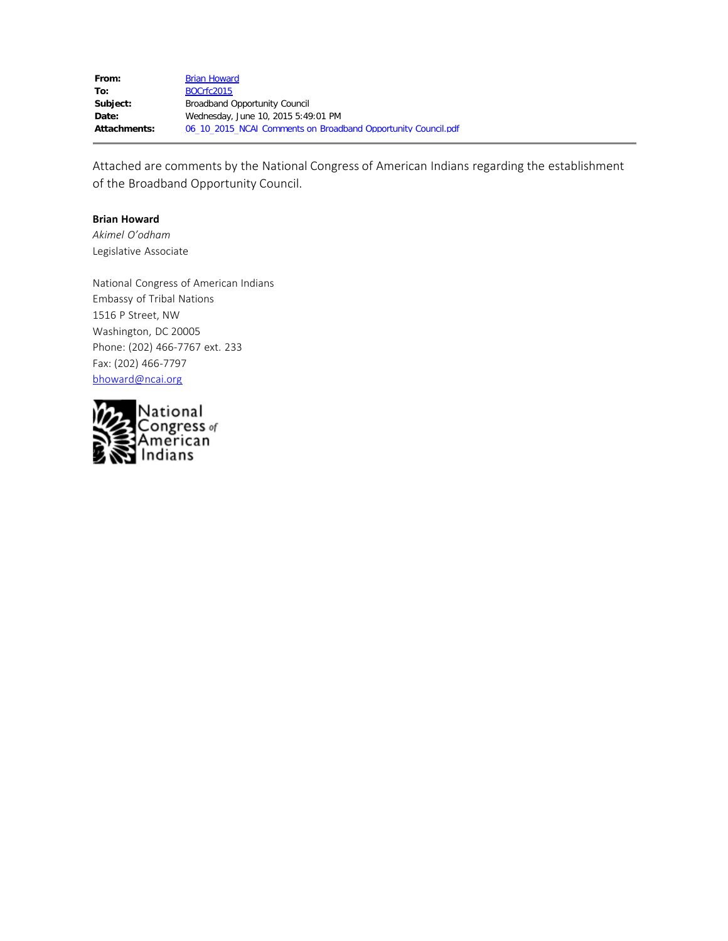| From:        | <b>Brian Howard</b>                                           |
|--------------|---------------------------------------------------------------|
| To:          | BOCrfc2015                                                    |
| Subject:     | Broadband Opportunity Council                                 |
| Date:        | Wednesday, June 10, 2015 5:49:01 PM                           |
| Attachments: | 06 10 2015 NCAI Comments on Broadband Opportunity Council.pdf |
|              |                                                               |

Attached are comments by the National Congress of American Indians regarding the establishment of the Broadband Opportunity Council.

#### **Brian Howard**

*Akimel O'odham* Legislative Associate

National Congress of American Indians Embassy of Tribal Nations 1516 P Street, NW Washington, DC 20005 Phone: (202) 466-7767 ext. 233 Fax: (202) 466-7797 [bhoward@ncai.org](file:////c/bhoward@ncai.org)

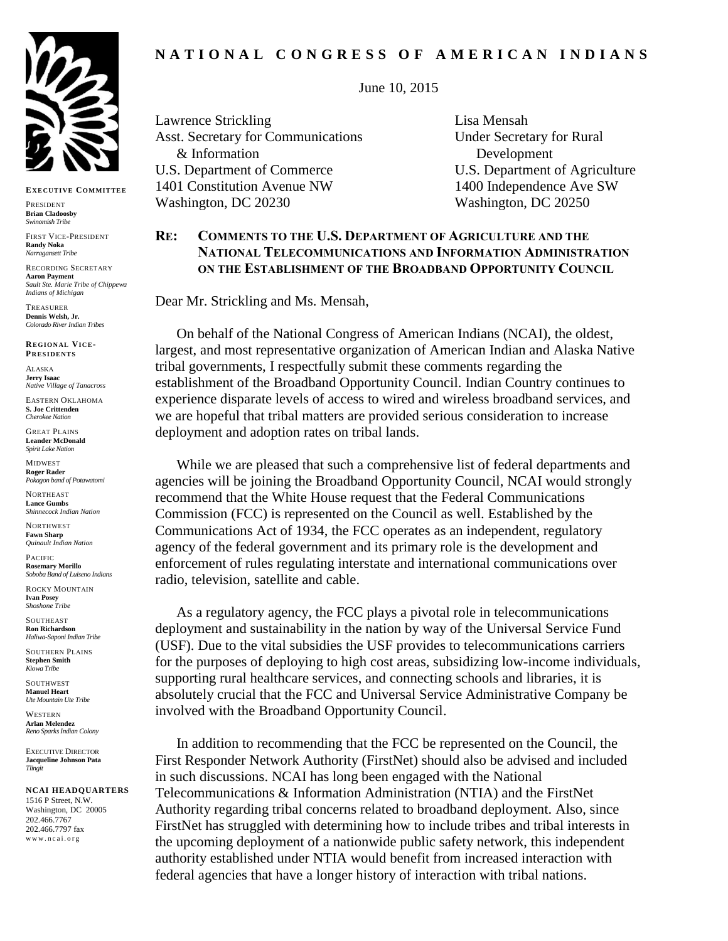

**EX E C UT I VE CO MMIT TE E**

PRESIDENT **Brian Cladoosby** *Swinomish Tribe*

FIRST VICE-PRESIDENT **Randy Noka** *Narragansett Tribe*

RECORDING SECRETARY **Aaron Payment** *Sault Ste. Marie Tribe of Chippewa Indians of Michigan*

TREASURER **Dennis Welsh, Jr.** *Colorado River Indian Tribes*

**RE G IO N AL VI C E-PR ES I DE NT S**

ALASKA **Jerry Isaac** *Native Village of Tanacross*

EASTERN OKLAHOMA **S. Joe Crittenden** *Cherokee Nation*

GREAT PLAINS **Leander McDonald** *Spirit Lake Nation*

MIDWEST **Roger Rader** *Pokagon band of Potawatomi* 

**NORTHEAST Lance Gumbs** *Shinnecock Indian Nation*

**NORTHWEST Fawn Sharp** *Quinault Indian Nation*

PACIFIC **Rosemary Morillo** *Soboba Band of Luiseno Indians*

ROCKY MOUNTAIN **Ivan Posey** *Shoshone Tribe*

**SOUTHEAST Ron Richardson** *Haliwa-Saponi Indian Tribe*

SOUTHERN PLAINS **Stephen Smith** *Kiowa Tribe*

SOUTHWEST **Manuel Heart** *Ute Mountain Ute Tribe*

WESTERN **Arlan Melendez** *Reno Sparks Indian Colony*

EXECUTIVE DIRECTOR **Jacqueline Johnson Pata** *Tlingit*

#### **NCAI HEADQUARTERS**

1516 P Street, N.W. Washington, DC 20005 202.466.7767 202.466.7797 fax www.ncai.org

# **N A T I O N A L C O N G R E S S O F A M E R I C A N I N D I A N S**

June 10, 2015

Lawrence Strickling Lisa Mensah Asst. Secretary for Communications Under Secretary for Rural & Information Development U.S. Department of Commerce U.S. Department of Agriculture 1401 Constitution Avenue NW 1400 Independence Ave SW Washington, DC 20230 Washington, DC 20250

# **RE: COMMENTS TO THE U.S. DEPARTMENT OF AGRICULTURE AND THE NATIONAL TELECOMMUNICATIONS AND INFORMATION ADMINISTRATION ON THE ESTABLISHMENT OF THE BROADBAND OPPORTUNITY COUNCIL**

Dear Mr. Strickling and Ms. Mensah,

On behalf of the National Congress of American Indians (NCAI), the oldest, largest, and most representative organization of American Indian and Alaska Native tribal governments, I respectfully submit these comments regarding the establishment of the Broadband Opportunity Council. Indian Country continues to experience disparate levels of access to wired and wireless broadband services, and we are hopeful that tribal matters are provided serious consideration to increase deployment and adoption rates on tribal lands.

While we are pleased that such a comprehensive list of federal departments and agencies will be joining the Broadband Opportunity Council, NCAI would strongly recommend that the White House request that the Federal Communications Commission (FCC) is represented on the Council as well. Established by the Communications Act of 1934, the FCC operates as an independent, regulatory agency of the federal government and its primary role is the development and enforcement of rules regulating interstate and international communications over radio, television, satellite and cable.

As a regulatory agency, the FCC plays a pivotal role in telecommunications deployment and sustainability in the nation by way of the Universal Service Fund (USF). Due to the vital subsidies the USF provides to telecommunications carriers for the purposes of deploying to high cost areas, subsidizing low-income individuals, supporting rural healthcare services, and connecting schools and libraries, it is absolutely crucial that the FCC and Universal Service Administrative Company be involved with the Broadband Opportunity Council.

In addition to recommending that the FCC be represented on the Council, the First Responder Network Authority (FirstNet) should also be advised and included in such discussions. NCAI has long been engaged with the National Telecommunications & Information Administration (NTIA) and the FirstNet Authority regarding tribal concerns related to broadband deployment. Also, since FirstNet has struggled with determining how to include tribes and tribal interests in the upcoming deployment of a nationwide public safety network, this independent authority established under NTIA would benefit from increased interaction with federal agencies that have a longer history of interaction with tribal nations.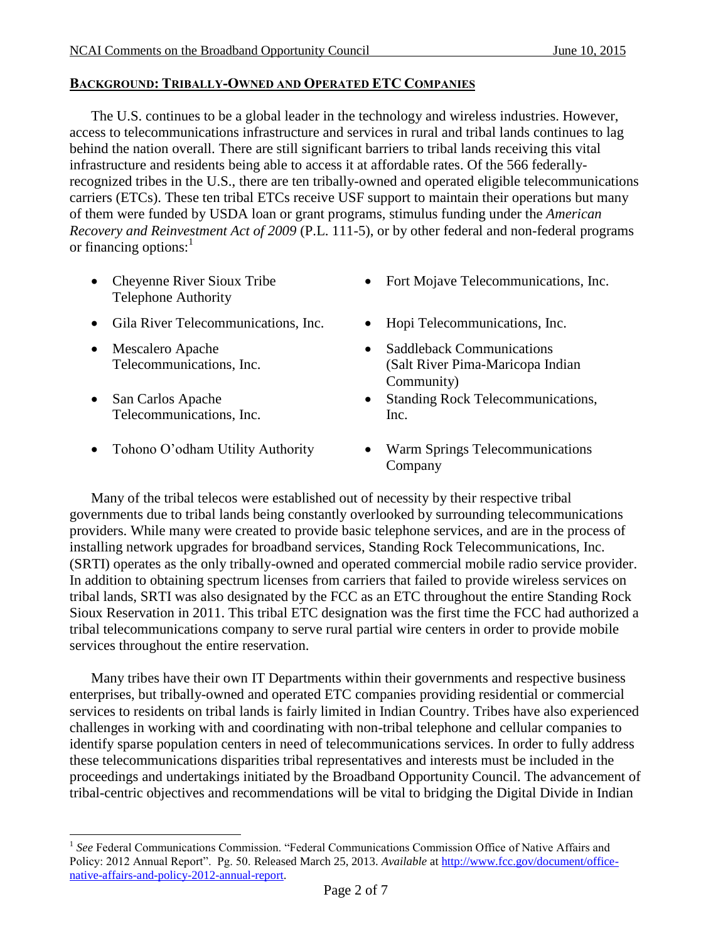# **BACKGROUND: TRIBALLY-OWNED AND OPERATED ETC COMPANIES**

The U.S. continues to be a global leader in the technology and wireless industries. However, access to telecommunications infrastructure and services in rural and tribal lands continues to lag behind the nation overall. There are still significant barriers to tribal lands receiving this vital infrastructure and residents being able to access it at affordable rates. Of the 566 federallyrecognized tribes in the U.S., there are ten tribally-owned and operated eligible telecommunications carriers (ETCs). These ten tribal ETCs receive USF support to maintain their operations but many of them were funded by USDA loan or grant programs, stimulus funding under the *American Recovery and Reinvestment Act of 2009* (P.L. 111-5), or by other federal and non-federal programs or financing options:<sup>1</sup>

- Cheyenne River Sioux Tribe Telephone Authority
- Gila River Telecommunications, Inc. Hopi Telecommunications, Inc.
- Mescalero Apache Telecommunications, Inc.
- San Carlos Apache Telecommunications, Inc.

 $\overline{a}$ 

- Fort Mojave Telecommunications, Inc.
- 
- Saddleback Communications (Salt River Pima-Maricopa Indian Community)
- Standing Rock Telecommunications, Inc.
- Tohono O'odham Utility Authority Warm Springs Telecommunications Company

Many of the tribal telecos were established out of necessity by their respective tribal governments due to tribal lands being constantly overlooked by surrounding telecommunications providers. While many were created to provide basic telephone services, and are in the process of installing network upgrades for broadband services, Standing Rock Telecommunications, Inc. (SRTI) operates as the only tribally-owned and operated commercial mobile radio service provider. In addition to obtaining spectrum licenses from carriers that failed to provide wireless services on tribal lands, SRTI was also designated by the FCC as an ETC throughout the entire Standing Rock Sioux Reservation in 2011. This tribal ETC designation was the first time the FCC had authorized a tribal telecommunications company to serve rural partial wire centers in order to provide mobile services throughout the entire reservation.

Many tribes have their own IT Departments within their governments and respective business enterprises, but tribally-owned and operated ETC companies providing residential or commercial services to residents on tribal lands is fairly limited in Indian Country. Tribes have also experienced challenges in working with and coordinating with non-tribal telephone and cellular companies to identify sparse population centers in need of telecommunications services. In order to fully address these telecommunications disparities tribal representatives and interests must be included in the proceedings and undertakings initiated by the Broadband Opportunity Council. The advancement of tribal-centric objectives and recommendations will be vital to bridging the Digital Divide in Indian

<sup>1</sup> *See* Federal Communications Commission. "Federal Communications Commission Office of Native Affairs and Policy: 2012 Annual Report". Pg. 50. Released March 25, 2013. *Available* at [http://www.fcc.gov/document/office](http://www.fcc.gov/document/office-native-affairs-and-policy-2012-annual-report)[native-affairs-and-policy-2012-annual-report.](http://www.fcc.gov/document/office-native-affairs-and-policy-2012-annual-report)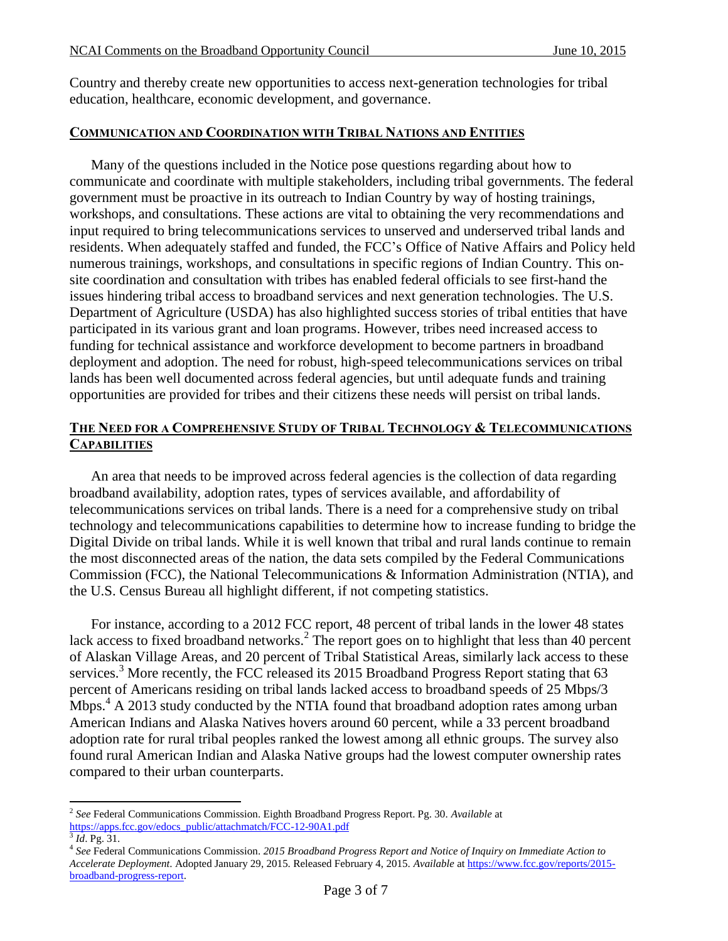Country and thereby create new opportunities to access next-generation technologies for tribal education, healthcare, economic development, and governance.

### **COMMUNICATION AND COORDINATION WITH TRIBAL NATIONS AND ENTITIES**

Many of the questions included in the Notice pose questions regarding about how to communicate and coordinate with multiple stakeholders, including tribal governments. The federal government must be proactive in its outreach to Indian Country by way of hosting trainings, workshops, and consultations. These actions are vital to obtaining the very recommendations and input required to bring telecommunications services to unserved and underserved tribal lands and residents. When adequately staffed and funded, the FCC's Office of Native Affairs and Policy held numerous trainings, workshops, and consultations in specific regions of Indian Country. This onsite coordination and consultation with tribes has enabled federal officials to see first-hand the issues hindering tribal access to broadband services and next generation technologies. The U.S. Department of Agriculture (USDA) has also highlighted success stories of tribal entities that have participated in its various grant and loan programs. However, tribes need increased access to funding for technical assistance and workforce development to become partners in broadband deployment and adoption. The need for robust, high-speed telecommunications services on tribal lands has been well documented across federal agencies, but until adequate funds and training opportunities are provided for tribes and their citizens these needs will persist on tribal lands.

# **THE NEED FOR A COMPREHENSIVE STUDY OF TRIBAL TECHNOLOGY & TELECOMMUNICATIONS CAPABILITIES**

An area that needs to be improved across federal agencies is the collection of data regarding broadband availability, adoption rates, types of services available, and affordability of telecommunications services on tribal lands. There is a need for a comprehensive study on tribal technology and telecommunications capabilities to determine how to increase funding to bridge the Digital Divide on tribal lands. While it is well known that tribal and rural lands continue to remain the most disconnected areas of the nation, the data sets compiled by the Federal Communications Commission (FCC), the National Telecommunications & Information Administration (NTIA), and the U.S. Census Bureau all highlight different, if not competing statistics.

For instance, according to a 2012 FCC report, 48 percent of tribal lands in the lower 48 states lack access to fixed broadband networks.<sup>2</sup> The report goes on to highlight that less than 40 percent of Alaskan Village Areas, and 20 percent of Tribal Statistical Areas, similarly lack access to these services.<sup>3</sup> More recently, the FCC released its 2015 Broadband Progress Report stating that 63 percent of Americans residing on tribal lands lacked access to broadband speeds of 25 Mbps/3 Mbps.<sup>4</sup> A 2013 study conducted by the NTIA found that broadband adoption rates among urban American Indians and Alaska Natives hovers around 60 percent, while a 33 percent broadband adoption rate for rural tribal peoples ranked the lowest among all ethnic groups. The survey also found rural American Indian and Alaska Native groups had the lowest computer ownership rates compared to their urban counterparts.

 $\overline{a}$ 

<sup>2</sup> *See* Federal Communications Commission. Eighth Broadband Progress Report. Pg. 30. *Available* at [https://apps.fcc.gov/edocs\\_public/attachmatch/FCC-12-90A1.pdf](https://apps.fcc.gov/edocs_public/attachmatch/FCC-12-90A1.pdf)

<sup>3</sup> *Id*. Pg. 31.

<sup>4</sup> *See* Federal Communications Commission. *2015 Broadband Progress Report and Notice of Inquiry on Immediate Action to Accelerate Deployment*. Adopted January 29, 2015. Released February 4, 2015. *Available* a[t https://www.fcc.gov/reports/2015](https://www.fcc.gov/reports/2015-broadband-progress-report) [broadband-progress-report.](https://www.fcc.gov/reports/2015-broadband-progress-report)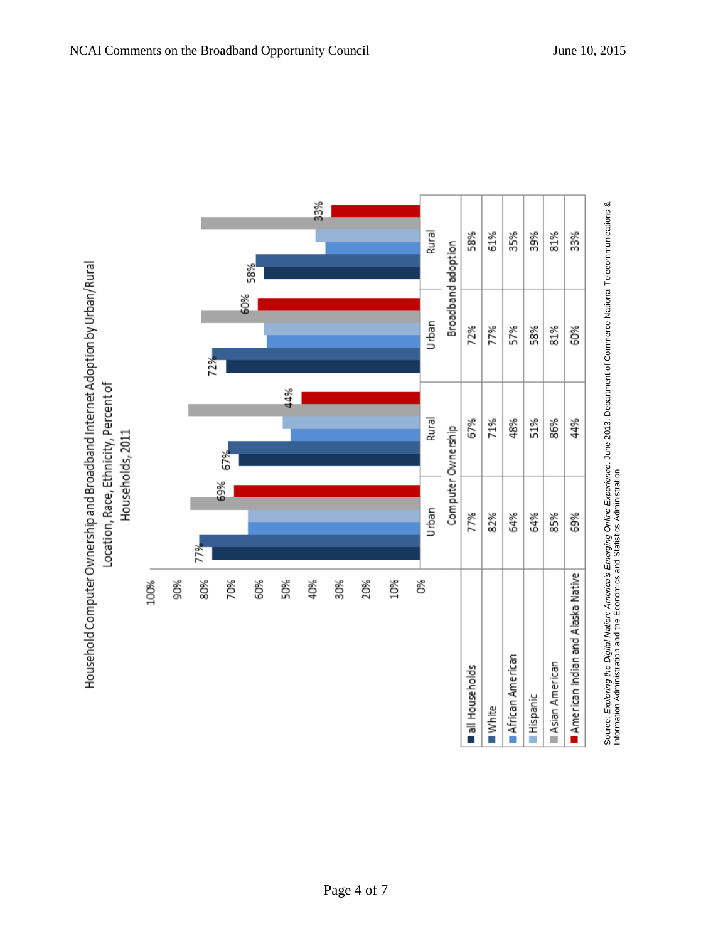

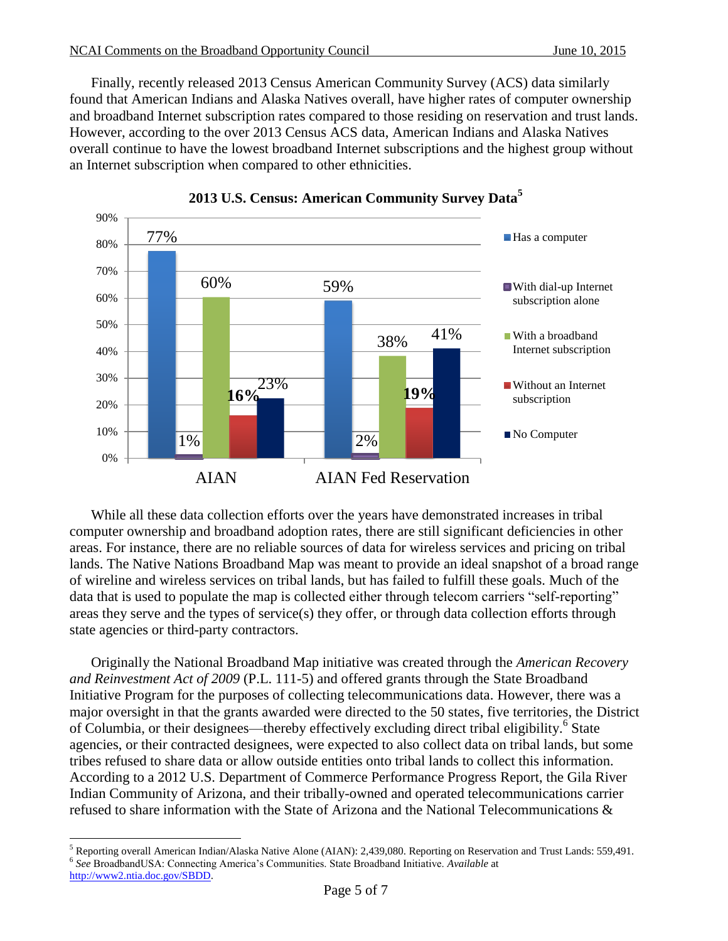Finally, recently released 2013 Census American Community Survey (ACS) data similarly found that American Indians and Alaska Natives overall, have higher rates of computer ownership and broadband Internet subscription rates compared to those residing on reservation and trust lands. However, according to the over 2013 Census ACS data, American Indians and Alaska Natives overall continue to have the lowest broadband Internet subscriptions and the highest group without an Internet subscription when compared to other ethnicities.





While all these data collection efforts over the years have demonstrated increases in tribal computer ownership and broadband adoption rates, there are still significant deficiencies in other areas. For instance, there are no reliable sources of data for wireless services and pricing on tribal lands. The Native Nations Broadband Map was meant to provide an ideal snapshot of a broad range of wireline and wireless services on tribal lands, but has failed to fulfill these goals. Much of the data that is used to populate the map is collected either through telecom carriers "self-reporting" areas they serve and the types of service(s) they offer, or through data collection efforts through state agencies or third-party contractors.

Originally the National Broadband Map initiative was created through the *American Recovery and Reinvestment Act of 2009* (P.L. 111-5) and offered grants through the State Broadband Initiative Program for the purposes of collecting telecommunications data. However, there was a major oversight in that the grants awarded were directed to the 50 states, five territories, the District of Columbia, or their designees—thereby effectively excluding direct tribal eligibility.<sup>6</sup> State agencies, or their contracted designees, were expected to also collect data on tribal lands, but some tribes refused to share data or allow outside entities onto tribal lands to collect this information. According to a 2012 U.S. Department of Commerce Performance Progress Report, the Gila River Indian Community of Arizona, and their tribally-owned and operated telecommunications carrier refused to share information with the State of Arizona and the National Telecommunications &

 $\overline{a}$ <sup>5</sup> Reporting overall American Indian/Alaska Native Alone (AIAN): 2,439,080. Reporting on Reservation and Trust Lands: 559,491. 6 *See* BroadbandUSA: Connecting America's Communities. State Broadband Initiative. *Available* at [http://www2.ntia.doc.gov/SBDD.](http://www2.ntia.doc.gov/SBDD)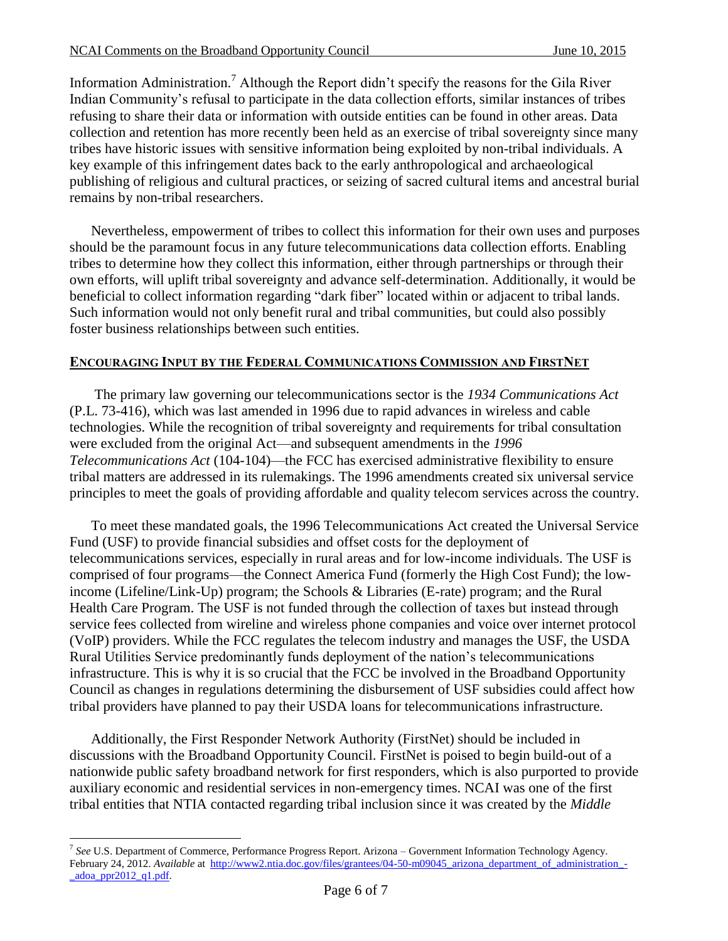Information Administration.<sup>7</sup> Although the Report didn't specify the reasons for the Gila River Indian Community's refusal to participate in the data collection efforts, similar instances of tribes refusing to share their data or information with outside entities can be found in other areas. Data collection and retention has more recently been held as an exercise of tribal sovereignty since many tribes have historic issues with sensitive information being exploited by non-tribal individuals. A key example of this infringement dates back to the early anthropological and archaeological publishing of religious and cultural practices, or seizing of sacred cultural items and ancestral burial remains by non-tribal researchers.

Nevertheless, empowerment of tribes to collect this information for their own uses and purposes should be the paramount focus in any future telecommunications data collection efforts. Enabling tribes to determine how they collect this information, either through partnerships or through their own efforts, will uplift tribal sovereignty and advance self-determination. Additionally, it would be beneficial to collect information regarding "dark fiber" located within or adjacent to tribal lands. Such information would not only benefit rural and tribal communities, but could also possibly foster business relationships between such entities.

## **ENCOURAGING INPUT BY THE FEDERAL COMMUNICATIONS COMMISSION AND FIRSTNET**

The primary law governing our telecommunications sector is the *1934 Communications Act* (P.L. 73-416), which was last amended in 1996 due to rapid advances in wireless and cable technologies. While the recognition of tribal sovereignty and requirements for tribal consultation were excluded from the original Act—and subsequent amendments in the *1996 Telecommunications Act* (104-104)—the FCC has exercised administrative flexibility to ensure tribal matters are addressed in its rulemakings. The 1996 amendments created six universal service principles to meet the goals of providing affordable and quality telecom services across the country.

To meet these mandated goals, the 1996 Telecommunications Act created the Universal Service Fund (USF) to provide financial subsidies and offset costs for the deployment of telecommunications services, especially in rural areas and for low-income individuals. The USF is comprised of four programs—the Connect America Fund (formerly the High Cost Fund); the lowincome (Lifeline/Link-Up) program; the Schools & Libraries (E-rate) program; and the Rural Health Care Program. The USF is not funded through the collection of taxes but instead through service fees collected from wireline and wireless phone companies and voice over internet protocol (VoIP) providers. While the FCC regulates the telecom industry and manages the USF, the USDA Rural Utilities Service predominantly funds deployment of the nation's telecommunications infrastructure. This is why it is so crucial that the FCC be involved in the Broadband Opportunity Council as changes in regulations determining the disbursement of USF subsidies could affect how tribal providers have planned to pay their USDA loans for telecommunications infrastructure.

Additionally, the First Responder Network Authority (FirstNet) should be included in discussions with the Broadband Opportunity Council. FirstNet is poised to begin build-out of a nationwide public safety broadband network for first responders, which is also purported to provide auxiliary economic and residential services in non-emergency times. NCAI was one of the first tribal entities that NTIA contacted regarding tribal inclusion since it was created by the *Middle* 

 $\overline{a}$ 7 *See* U.S. Department of Commerce, Performance Progress Report. Arizona – Government Information Technology Agency. February 24, 2012. *Available* at [http://www2.ntia.doc.gov/files/grantees/04-50-m09045\\_arizona\\_department\\_of\\_administration\\_](http://www2.ntia.doc.gov/files/grantees/04-50-m09045_arizona_department_of_administration_-_adoa_ppr2012_q1.pdf)  $adoa$  ppr $2012$  q1.pdf.